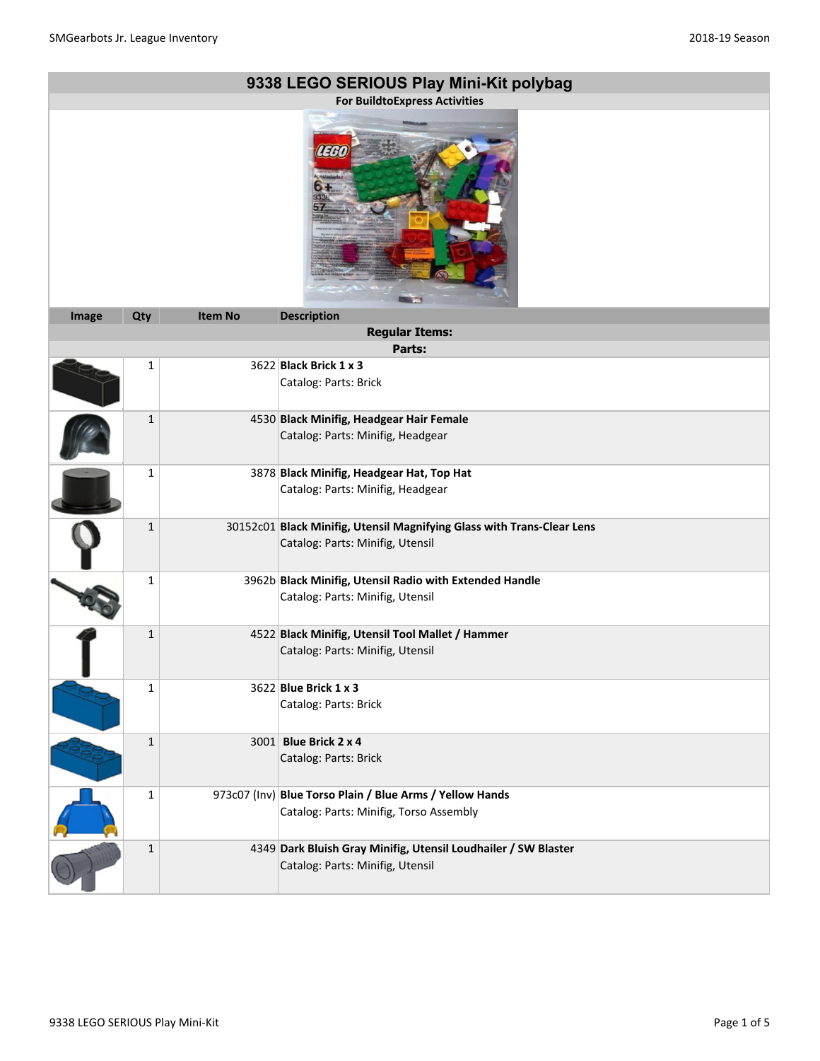| 9338 LEGO SERIOUS Play Mini-Kit polybag |              |                |                                                                                                            |
|-----------------------------------------|--------------|----------------|------------------------------------------------------------------------------------------------------------|
| <b>For BuildtoExpress Activities</b>    |              |                |                                                                                                            |
| 'I I H                                  |              |                |                                                                                                            |
| Image                                   | Qty          | <b>Item No</b> | <b>Description</b><br><b>Regular Items:</b>                                                                |
|                                         |              |                | Parts:                                                                                                     |
|                                         | $\mathbf 1$  |                | 3622 Black Brick 1 x 3                                                                                     |
|                                         |              |                | Catalog: Parts: Brick                                                                                      |
|                                         | $\mathbf 1$  |                | 4530 Black Minifig, Headgear Hair Female<br>Catalog: Parts: Minifig, Headgear                              |
|                                         | $\mathbf{1}$ |                | 3878 Black Minifig, Headgear Hat, Top Hat<br>Catalog: Parts: Minifig, Headgear                             |
|                                         | $\mathbf{1}$ |                | 30152c01 Black Minifig, Utensil Magnifying Glass with Trans-Clear Lens<br>Catalog: Parts: Minifig, Utensil |
|                                         | $\mathbf{1}$ |                | 3962b Black Minifig, Utensil Radio with Extended Handle<br>Catalog: Parts: Minifig, Utensil                |
|                                         | $\mathbf 1$  |                | 4522 Black Minifig, Utensil Tool Mallet / Hammer<br>Catalog: Parts: Minifig, Utensil                       |
|                                         | 1            |                | 3622 Blue Brick 1 x 3<br>Catalog: Parts: Brick                                                             |
|                                         | $\mathbf{1}$ |                | 3001 Blue Brick 2 x 4<br>Catalog: Parts: Brick                                                             |
|                                         | $\mathbf{1}$ |                | 973c07 (Inv) Blue Torso Plain / Blue Arms / Yellow Hands<br>Catalog: Parts: Minifig, Torso Assembly        |
|                                         | $\mathbf 1$  |                | 4349 Dark Bluish Gray Minifig, Utensil Loudhailer / SW Blaster<br>Catalog: Parts: Minifig, Utensil         |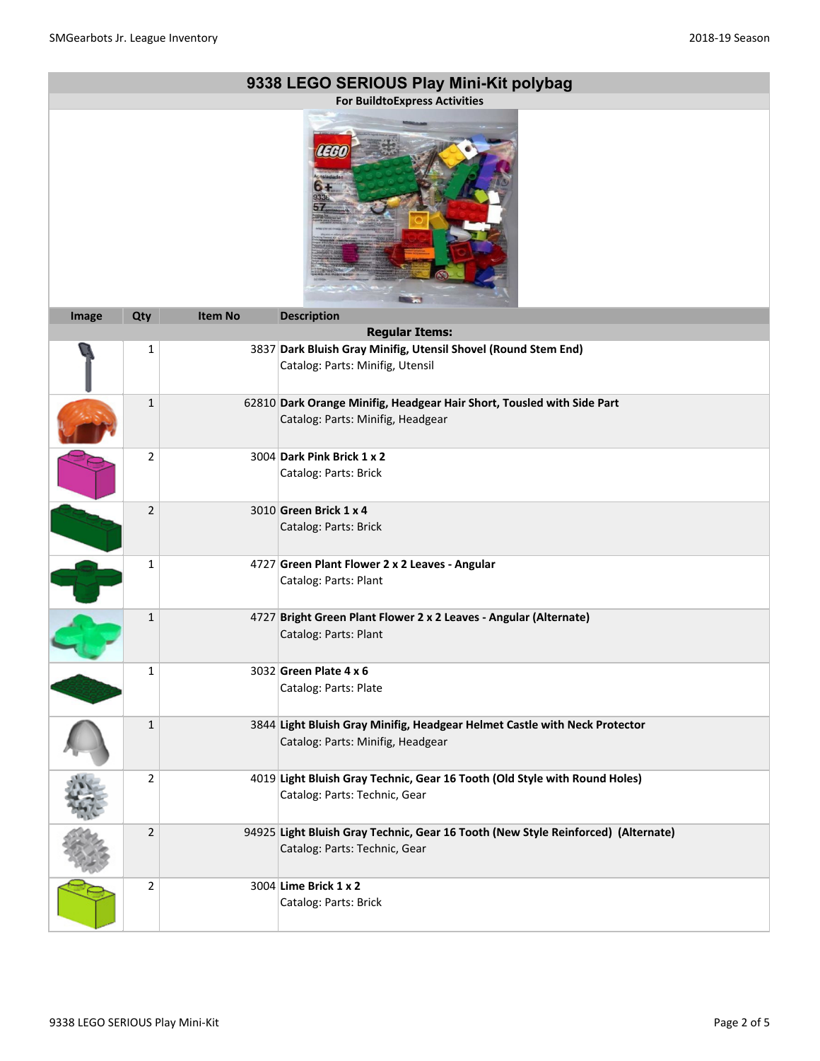|       |                |                | 9338 LEGO SERIOUS Play Mini-Kit polybag<br><b>For BuildtoExpress Activities</b>                                    |
|-------|----------------|----------------|--------------------------------------------------------------------------------------------------------------------|
|       |                |                |                                                                                                                    |
| Image | Qty            | <b>Item No</b> | <b>Description</b><br><b>Regular Items:</b>                                                                        |
|       | $\mathbf{1}$   |                | 3837 Dark Bluish Gray Minifig, Utensil Shovel (Round Stem End)<br>Catalog: Parts: Minifig, Utensil                 |
|       | $\mathbf{1}$   |                | 62810 Dark Orange Minifig, Headgear Hair Short, Tousled with Side Part<br>Catalog: Parts: Minifig, Headgear        |
|       | 2              |                | 3004 Dark Pink Brick 1 x 2<br>Catalog: Parts: Brick                                                                |
|       | $\overline{2}$ |                | 3010 Green Brick 1 x 4<br>Catalog: Parts: Brick                                                                    |
|       | $\mathbf{1}$   |                | 4727 Green Plant Flower 2 x 2 Leaves - Angular<br>Catalog: Parts: Plant                                            |
|       | $\mathbf{1}$   |                | 4727 Bright Green Plant Flower 2 x 2 Leaves - Angular (Alternate)<br>Catalog: Parts: Plant                         |
|       | 1              |                | 3032 Green Plate 4 x 6<br>Catalog: Parts: Plate                                                                    |
|       | $\mathbf{1}$   |                | 3844 Light Bluish Gray Minifig, Headgear Helmet Castle with Neck Protector<br>Catalog: Parts: Minifig, Headgear    |
|       | 2              |                | 4019 Light Bluish Gray Technic, Gear 16 Tooth (Old Style with Round Holes)<br>Catalog: Parts: Technic, Gear        |
|       | $\overline{2}$ |                | 94925 Light Bluish Gray Technic, Gear 16 Tooth (New Style Reinforced) (Alternate)<br>Catalog: Parts: Technic, Gear |
|       | $\overline{2}$ |                | 3004 Lime Brick 1 x 2<br>Catalog: Parts: Brick                                                                     |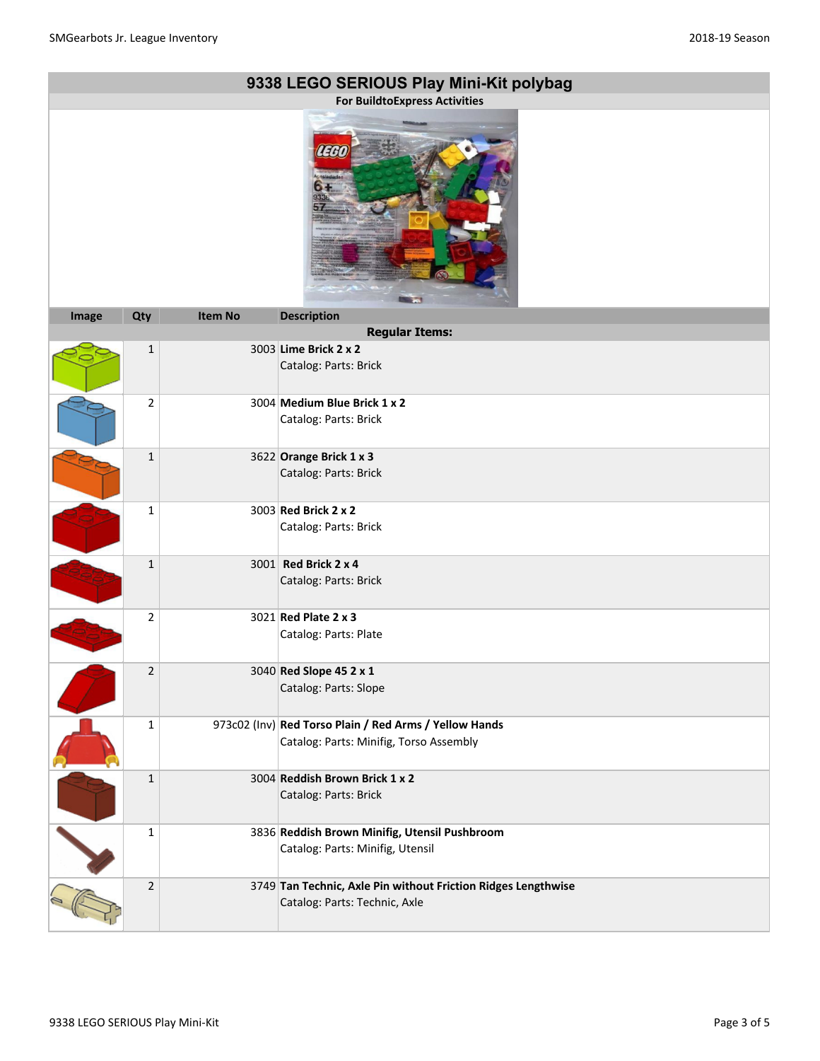|       |                |                | 9338 LEGO SERIOUS Play Mini-Kit polybag                       |
|-------|----------------|----------------|---------------------------------------------------------------|
|       |                |                | <b>For BuildtoExpress Activities</b>                          |
|       |                |                | LEET                                                          |
| Image | Qty            | <b>Item No</b> | <b>Description</b><br><b>Regular Items:</b>                   |
|       | $\mathbf 1$    |                | 3003 Lime Brick 2 x 2                                         |
|       |                |                | Catalog: Parts: Brick                                         |
|       | $\overline{2}$ |                | 3004 Medium Blue Brick 1 x 2                                  |
|       |                |                | Catalog: Parts: Brick                                         |
|       | $\mathbf{1}$   |                | 3622 Orange Brick $1 \times 3$                                |
|       |                |                | Catalog: Parts: Brick                                         |
|       | $\mathbf{1}$   |                | 3003 Red Brick 2 x 2                                          |
|       |                |                | Catalog: Parts: Brick                                         |
|       | $\mathbf 1$    |                | 3001 Red Brick 2 x 4                                          |
|       |                |                | Catalog: Parts: Brick                                         |
|       | 2              |                | 3021 Red Plate 2 x 3                                          |
|       |                |                | Catalog: Parts: Plate                                         |
|       | $\overline{2}$ |                | 3040 Red Slope 45 2 x 1                                       |
|       |                |                | Catalog: Parts: Slope                                         |
|       | 1              |                | 973c02 (Inv) Red Torso Plain / Red Arms / Yellow Hands        |
|       |                |                | Catalog: Parts: Minifig, Torso Assembly                       |
|       | $\mathbf 1$    |                | 3004 Reddish Brown Brick 1 x 2                                |
|       |                |                | Catalog: Parts: Brick                                         |
|       | $\mathbf 1$    |                | 3836 Reddish Brown Minifig, Utensil Pushbroom                 |
|       |                |                | Catalog: Parts: Minifig, Utensil                              |
|       | $\mathbf 2$    |                | 3749 Tan Technic, Axle Pin without Friction Ridges Lengthwise |
|       |                |                | Catalog: Parts: Technic, Axle                                 |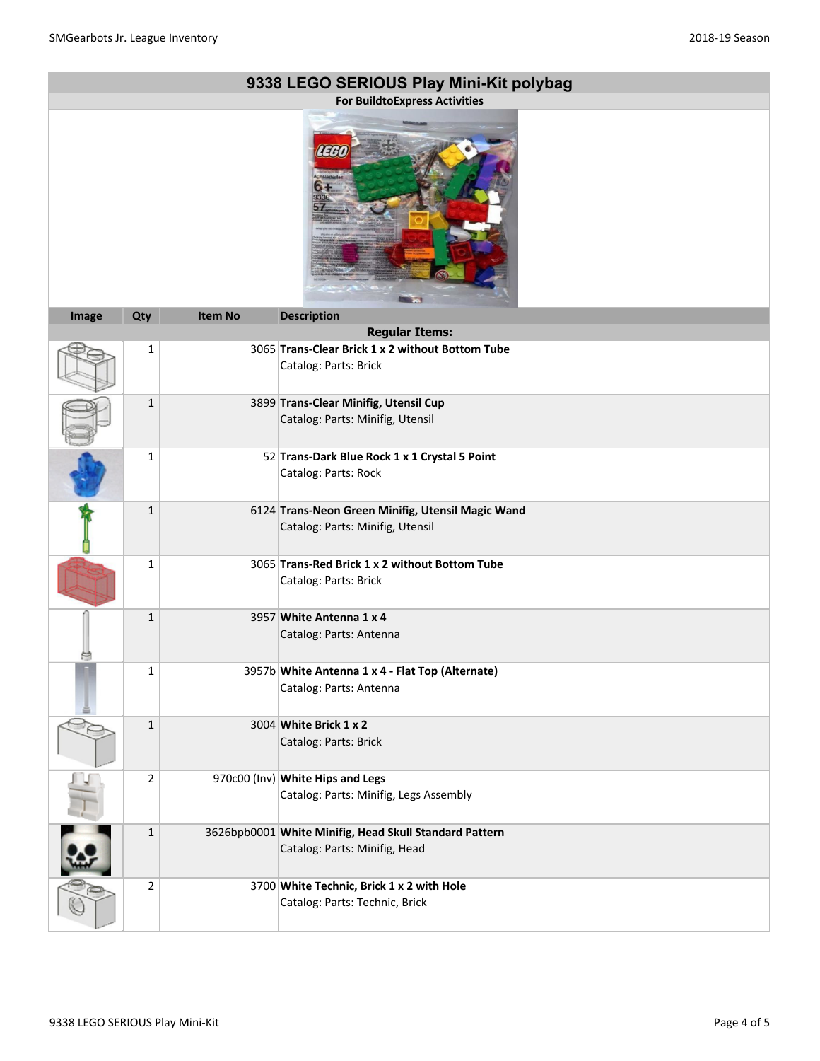|       |              |                | 9338 LEGO SERIOUS Play Mini-Kit polybag<br><b>For BuildtoExpress Activities</b>         |
|-------|--------------|----------------|-----------------------------------------------------------------------------------------|
|       |              |                | TEH                                                                                     |
| Image | Qty          | <b>Item No</b> | <b>Description</b><br><b>Regular Items:</b>                                             |
|       | $\mathbf 1$  |                | 3065 Trans-Clear Brick 1 x 2 without Bottom Tube                                        |
|       |              |                | Catalog: Parts: Brick                                                                   |
|       | $\mathbf{1}$ |                | 3899 Trans-Clear Minifig, Utensil Cup<br>Catalog: Parts: Minifig, Utensil               |
|       | $\mathbf 1$  |                | 52 Trans-Dark Blue Rock 1 x 1 Crystal 5 Point<br>Catalog: Parts: Rock                   |
|       | $\mathbf{1}$ |                | 6124 Trans-Neon Green Minifig, Utensil Magic Wand<br>Catalog: Parts: Minifig, Utensil   |
|       | 1            |                | 3065 Trans-Red Brick 1 x 2 without Bottom Tube<br>Catalog: Parts: Brick                 |
|       | $\mathbf{1}$ |                | 3957 White Antenna 1 x 4<br>Catalog: Parts: Antenna                                     |
|       | ı            |                | 3957b White Antenna 1 x 4 - Flat Top (Alternate)<br>Catalog: Parts: Antenna             |
|       | $\mathbf 1$  |                | 3004 White Brick 1 x 2<br>Catalog: Parts: Brick                                         |
|       | 2            |                | 970c00 (Inv) White Hips and Legs<br>Catalog: Parts: Minifig, Legs Assembly              |
|       | $\mathbf{1}$ |                | 3626bpb0001 White Minifig, Head Skull Standard Pattern<br>Catalog: Parts: Minifig, Head |
|       | $\mathbf{2}$ |                | 3700 White Technic, Brick 1 x 2 with Hole<br>Catalog: Parts: Technic, Brick             |